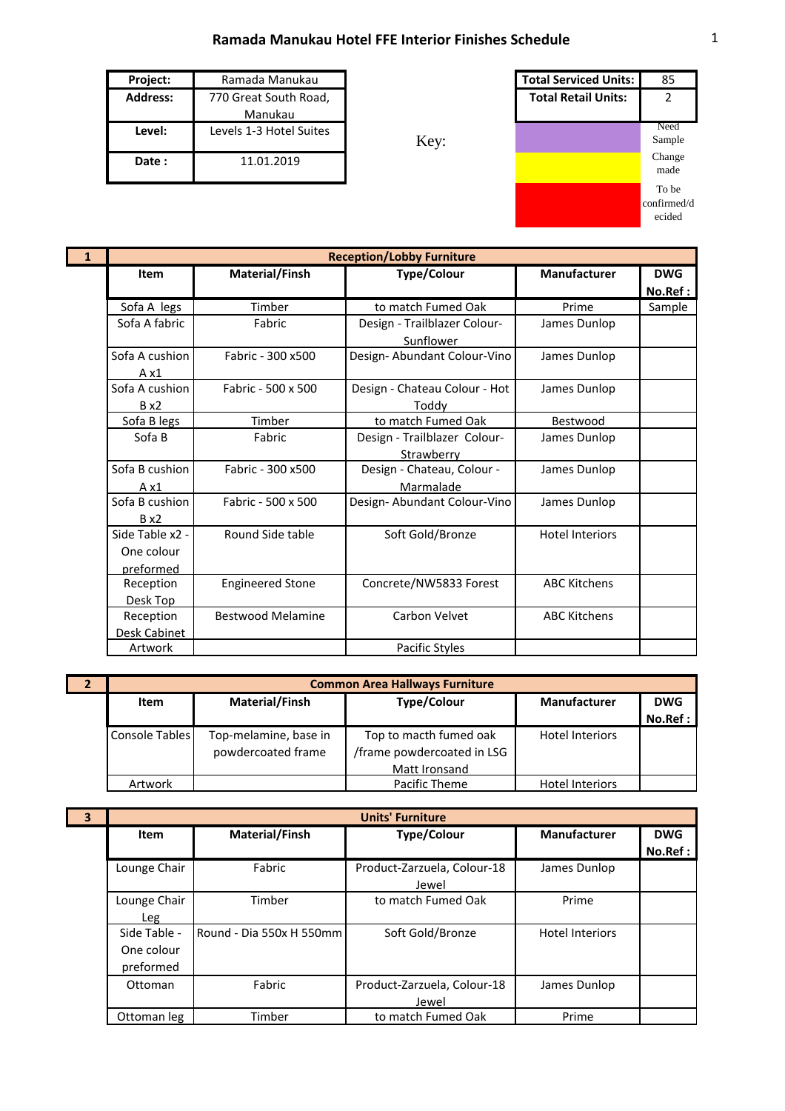## **Ramada Manukau Hotel FFE Interior Finishes Schedule** 1

| <b>Project:</b> | Ramada Manukau          |      | <b>Total Serviced Units:</b> | 85     |
|-----------------|-------------------------|------|------------------------------|--------|
| <b>Address:</b> | 770 Great South Road,   |      | <b>Total Retail Units:</b>   |        |
|                 | Manukau                 |      |                              |        |
| Level:          | Levels 1-3 Hotel Suites |      |                              | Need   |
|                 |                         | Key: |                              | Sample |
| Date:           | 11.01.2019              |      |                              | Change |
|                 |                         |      |                              | made   |



| $\mathbf{1}$ | <b>Reception/Lobby Furniture</b>           |                          |                                            |                        |                       |
|--------------|--------------------------------------------|--------------------------|--------------------------------------------|------------------------|-----------------------|
|              | Item                                       | <b>Material/Finsh</b>    | <b>Type/Colour</b>                         | Manufacturer           | <b>DWG</b><br>No.Ref: |
|              | Sofa A legs                                | Timber                   | to match Fumed Oak                         | Prime                  | Sample                |
|              | Sofa A fabric                              | Fabric                   | Design - Trailblazer Colour-<br>Sunflower  | James Dunlop           |                       |
|              | Sofa A cushion<br>A x1                     | Fabric - 300 x500        | Design- Abundant Colour-Vino               | James Dunlop           |                       |
|              | Sofa A cushion<br>$B \times 2$             | Fabric - 500 x 500       | Design - Chateau Colour - Hot<br>Toddy     | James Dunlop           |                       |
|              | Sofa B legs                                | Timber                   | to match Fumed Oak                         | Bestwood               |                       |
|              | Sofa B                                     | Fabric                   | Design - Trailblazer Colour-<br>Strawberry | James Dunlop           |                       |
|              | Sofa B cushion<br>$A \times 1$             | Fabric - 300 x500        | Design - Chateau, Colour -<br>Marmalade    | James Dunlop           |                       |
|              | Sofa B cushion<br>$B \times 2$             | Fabric - 500 x 500       | Design-Abundant Colour-Vino                | James Dunlop           |                       |
|              | Side Table x2 -<br>One colour<br>preformed | Round Side table         | Soft Gold/Bronze                           | <b>Hotel Interiors</b> |                       |
|              | Reception<br>Desk Top                      | <b>Engineered Stone</b>  | Concrete/NW5833 Forest                     | <b>ABC Kitchens</b>    |                       |
|              | Reception<br>Desk Cabinet                  | <b>Bestwood Melamine</b> | Carbon Velvet                              | <b>ABC Kitchens</b>    |                       |
|              | Artwork                                    |                          | Pacific Styles                             |                        |                       |

| $\overline{2}$ | <b>Common Area Hallways Furniture</b> |                       |                            |                        |            |
|----------------|---------------------------------------|-----------------------|----------------------------|------------------------|------------|
|                | <b>Material/Finsh</b><br>Item         |                       | <b>Type/Colour</b>         | <b>Manufacturer</b>    | <b>DWG</b> |
|                |                                       |                       |                            |                        | No.Ref:    |
|                | Console Tables                        | Top-melamine, base in | Top to macth fumed oak     | <b>Hotel Interiors</b> |            |
|                |                                       | powdercoated frame    | /frame powdercoated in LSG |                        |            |
|                |                                       |                       | Matt Ironsand              |                        |            |
|                | Artwork                               |                       | Pacific Theme              | <b>Hotel Interiors</b> |            |

**3**

| <b>Units' Furniture</b> |                          |                             |                        |            |  |
|-------------------------|--------------------------|-----------------------------|------------------------|------------|--|
| Item                    | Material/Finsh           | <b>Type/Colour</b>          | <b>Manufacturer</b>    | <b>DWG</b> |  |
|                         |                          |                             |                        | No.Ref :   |  |
| Lounge Chair            | Fabric                   | Product-Zarzuela, Colour-18 | James Dunlop           |            |  |
|                         |                          | Jewel                       |                        |            |  |
| Lounge Chair            | Timber                   | to match Fumed Oak          | Prime                  |            |  |
| Leg                     |                          |                             |                        |            |  |
| Side Table -            | Round - Dia 550x H 550mm | Soft Gold/Bronze            | <b>Hotel Interiors</b> |            |  |
| One colour              |                          |                             |                        |            |  |
| preformed               |                          |                             |                        |            |  |
| Ottoman                 | Fabric                   | Product-Zarzuela, Colour-18 | James Dunlop           |            |  |
|                         |                          | Jewel                       |                        |            |  |
| Ottoman leg             | Timber                   | to match Fumed Oak          | Prime                  |            |  |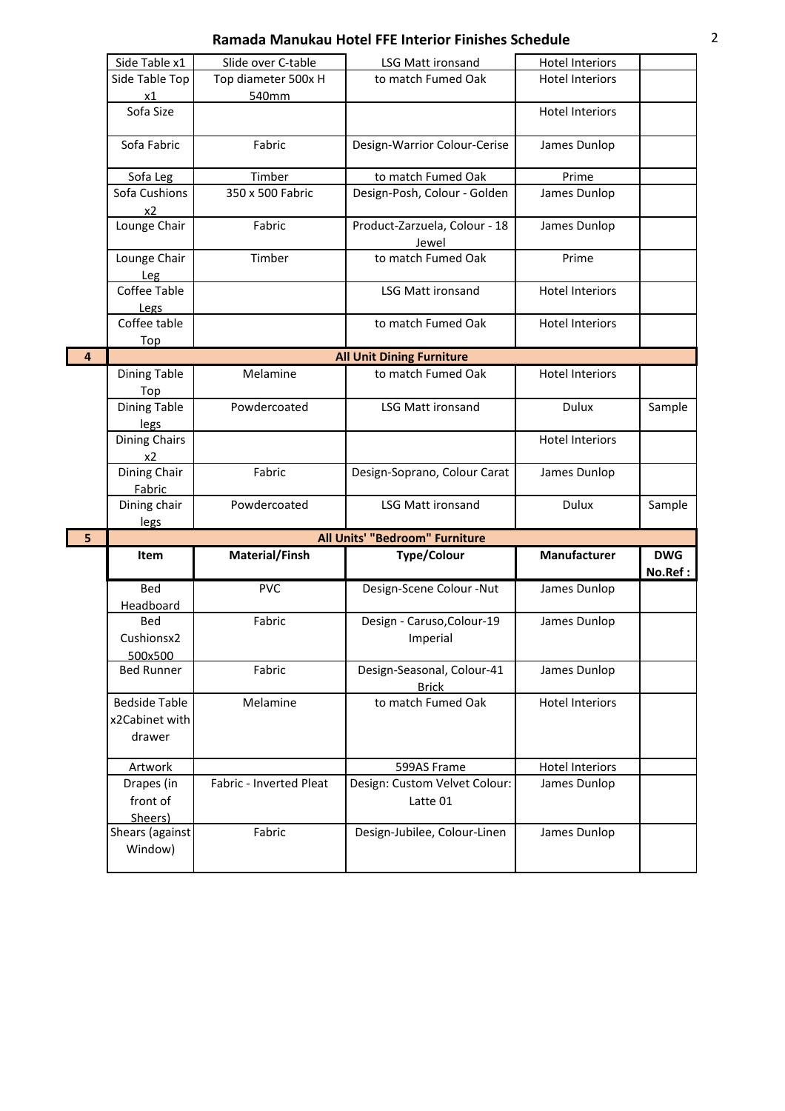## **Ramada Manukau Hotel FFE Interior Finishes Schedule** 2

|                | Side Table x1<br>Slide over C-table              |                         | <b>LSG Matt ironsand</b>                   | <b>Hotel Interiors</b> |            |
|----------------|--------------------------------------------------|-------------------------|--------------------------------------------|------------------------|------------|
|                | Side Table Top                                   | Top diameter 500x H     | to match Fumed Oak                         | <b>Hotel Interiors</b> |            |
|                | x1                                               | 540mm                   |                                            |                        |            |
|                | Sofa Size                                        |                         |                                            | <b>Hotel Interiors</b> |            |
|                | Sofa Fabric                                      | Fabric                  | Design-Warrior Colour-Cerise               | James Dunlop           |            |
|                | Sofa Leg                                         | Timber                  | to match Fumed Oak                         | Prime                  |            |
|                | Sofa Cushions                                    | 350 x 500 Fabric        | Design-Posh, Colour - Golden               | James Dunlop           |            |
|                | x2                                               |                         |                                            |                        |            |
|                | Lounge Chair                                     | Fabric                  | Product-Zarzuela, Colour - 18<br>Jewel     | James Dunlop           |            |
|                | Lounge Chair<br>Leg                              | Timber                  | to match Fumed Oak                         | Prime                  |            |
|                | Coffee Table<br>Legs                             |                         | LSG Matt ironsand                          | <b>Hotel Interiors</b> |            |
|                | Coffee table<br>Top                              |                         | to match Fumed Oak                         | <b>Hotel Interiors</b> |            |
| $\overline{4}$ |                                                  |                         | <b>All Unit Dining Furniture</b>           |                        |            |
|                | Dining Table<br>Top                              | Melamine                | to match Fumed Oak                         | <b>Hotel Interiors</b> |            |
|                | <b>Dining Table</b><br>legs                      | Powdercoated            | <b>LSG Matt ironsand</b>                   | Dulux                  | Sample     |
|                | <b>Dining Chairs</b><br>x2                       |                         |                                            | <b>Hotel Interiors</b> |            |
|                | Dining Chair<br>Fabric                           | Fabric                  | Design-Soprano, Colour Carat               | James Dunlop           |            |
|                | Dining chair<br>legs                             | Powdercoated            | <b>LSG Matt ironsand</b>                   | Dulux                  | Sample     |
| 5              |                                                  |                         | <b>All Units' "Bedroom" Furniture</b>      |                        |            |
|                | Item                                             | Material/Finsh          | <b>Type/Colour</b>                         | <b>Manufacturer</b>    | <b>DWG</b> |
|                |                                                  |                         |                                            |                        | No.Ref:    |
|                | <b>Bed</b><br>Headboard                          | <b>PVC</b>              | Design-Scene Colour -Nut                   | James Dunlop           |            |
|                | Bed<br>Cushionsx2<br>500x500                     | Fabric                  | Design - Caruso, Colour-19<br>Imperial     | James Dunlop           |            |
|                | <b>Bed Runner</b>                                | Fabric                  | Design-Seasonal, Colour-41<br><b>Brick</b> | James Dunlop           |            |
|                | <b>Bedside Table</b><br>x2Cabinet with<br>drawer | Melamine                | to match Fumed Oak                         | <b>Hotel Interiors</b> |            |
|                | Artwork                                          |                         | 599AS Frame                                | <b>Hotel Interiors</b> |            |
|                | Drapes (in<br>front of<br>Sheers)                | Fabric - Inverted Pleat | Design: Custom Velvet Colour:<br>Latte 01  | James Dunlop           |            |
|                | Shears (against<br>Window)                       | Fabric                  | Design-Jubilee, Colour-Linen               | James Dunlop           |            |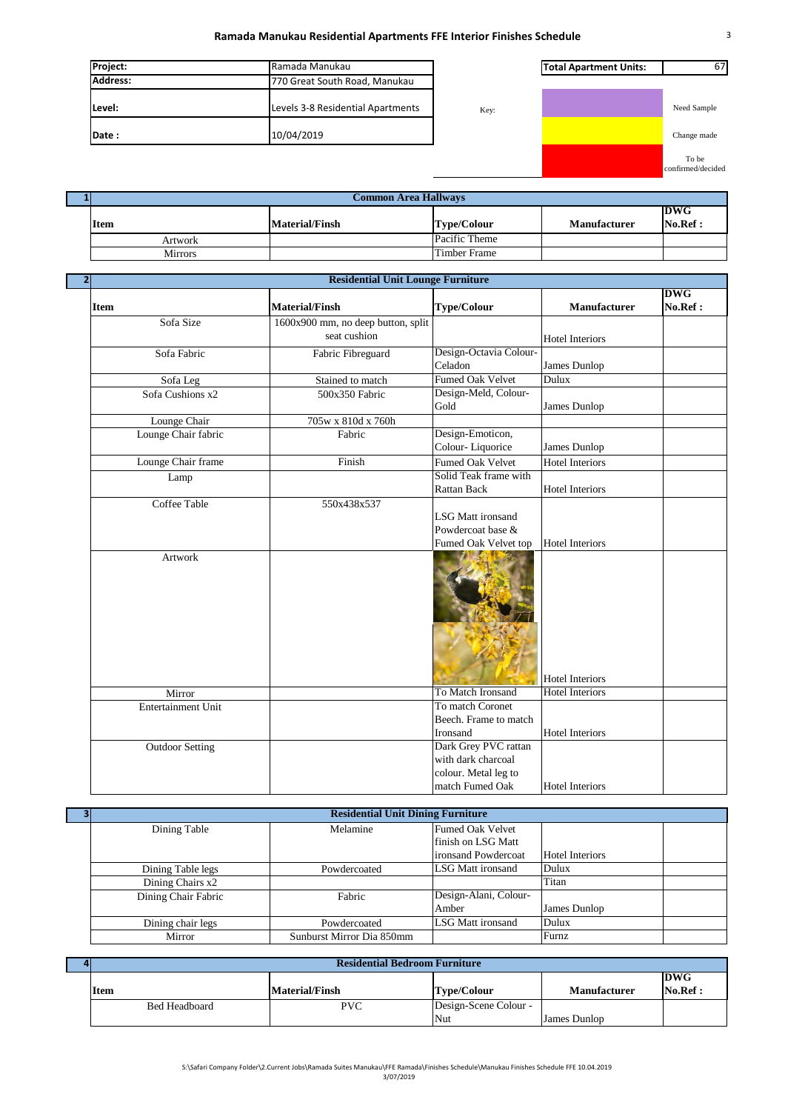## **Ramada Manukau Residential Apartments FFE Interior Finishes Schedule** 3

| Project:        | Ramada Manukau                    |      | <b>Total Apartment Units:</b> |             |
|-----------------|-----------------------------------|------|-------------------------------|-------------|
| <b>Address:</b> | 770 Great South Road, Manukau     |      |                               |             |
| Level:          | Levels 3-8 Residential Apartments | Key: |                               | Need Sample |
| Date:           | 10/04/2019                        |      |                               | Change made |



| Common Area Hallways |                       |               |              |                       |  |
|----------------------|-----------------------|---------------|--------------|-----------------------|--|
| <b>Item</b>          | <b>Material/Finsh</b> | Type/Colour   | Manufacturer | <b>DWG</b><br>No.Ref. |  |
| Artwork              |                       | Pacific Theme |              |                       |  |
| <b>Mirrors</b>       |                       | Timber Frame  |              |                       |  |

|                         | <b>Residential Unit Lounge Furniture</b> |                                                                       |                        |                |
|-------------------------|------------------------------------------|-----------------------------------------------------------------------|------------------------|----------------|
| <b>Item</b>             | <b>Material/Finsh</b>                    | <b>Type/Colour</b>                                                    | <b>Manufacturer</b>    | DWG<br>No.Ref: |
| Sofa Size               | 1600x900 mm, no deep button, split       |                                                                       |                        |                |
|                         | seat cushion                             |                                                                       | <b>Hotel Interiors</b> |                |
| Sofa Fabric             | Fabric Fibreguard                        | Design-Octavia Colour-                                                |                        |                |
|                         |                                          | Celadon                                                               | James Dunlop           |                |
| Sofa Leg                | Stained to match                         | Fumed Oak Velvet                                                      | Dulux                  |                |
| Sofa Cushions x2        | 500x350 Fabric                           | Design-Meld, Colour-                                                  |                        |                |
|                         |                                          | Gold                                                                  | James Dunlop           |                |
| Lounge Chair            | 705w x 810d x 760h                       |                                                                       |                        |                |
| Lounge Chair fabric     | Fabric                                   | Design-Emoticon,                                                      |                        |                |
|                         |                                          | Colour-Liquorice                                                      | James Dunlop           |                |
| Lounge Chair frame      | Finish                                   | Fumed Oak Velvet                                                      | <b>Hotel Interiors</b> |                |
| Lamp                    |                                          | Solid Teak frame with                                                 |                        |                |
|                         |                                          | <b>Rattan Back</b>                                                    | <b>Hotel Interiors</b> |                |
| Coffee Table<br>Artwork | 550x438x537                              | <b>LSG Matt ironsand</b><br>Powdercoat base &<br>Fumed Oak Velvet top | <b>Hotel Interiors</b> |                |
|                         |                                          |                                                                       | <b>Hotel Interiors</b> |                |
| Mirror                  |                                          | To Match Ironsand                                                     | <b>Hotel Interiors</b> |                |
| Entertainment Unit      |                                          | To match Coronet                                                      |                        |                |
|                         |                                          | Beech. Frame to match                                                 |                        |                |
|                         |                                          | Ironsand                                                              | <b>Hotel Interiors</b> |                |
| <b>Outdoor Setting</b>  |                                          | Dark Grey PVC rattan                                                  |                        |                |
|                         |                                          | with dark charcoal                                                    |                        |                |
|                         |                                          | colour. Metal leg to                                                  |                        |                |
|                         |                                          | match Fumed Oak                                                       | <b>Hotel Interiors</b> |                |

| <b>Residential Unit Dining Furniture</b> |                           |                         |                        |  |
|------------------------------------------|---------------------------|-------------------------|------------------------|--|
| Dining Table                             | Melamine                  | <b>Fumed Oak Velvet</b> |                        |  |
|                                          |                           | finish on LSG Matt      |                        |  |
|                                          |                           | ironsand Powdercoat     | <b>Hotel Interiors</b> |  |
| Dining Table legs                        | Powdercoated              | LSG Matt ironsand       | Dulux                  |  |
| Dining Chairs x2                         |                           |                         | Titan                  |  |
| Dining Chair Fabric                      | Fabric                    | Design-Alani, Colour-   |                        |  |
|                                          |                           | Amber                   | James Dunlop           |  |
| Dining chair legs                        | Powdercoated              | LSG Matt ironsand       | Dulux                  |  |
| Mirror                                   | Sunburst Mirror Dia 850mm |                         | Furnz                  |  |
|                                          |                           |                         |                        |  |

| <b>Residential Bedroom Furniture</b> |                |                              |              |                       |
|--------------------------------------|----------------|------------------------------|--------------|-----------------------|
| <b>Item</b>                          | Material/Finsh | <b>Type/Colour</b>           | Manufacturer | <b>DWG</b><br>No.Ref: |
| Bed Headboard                        | <b>PVC</b>     | Design-Scene Colour -<br>Nut | James Dunlop |                       |